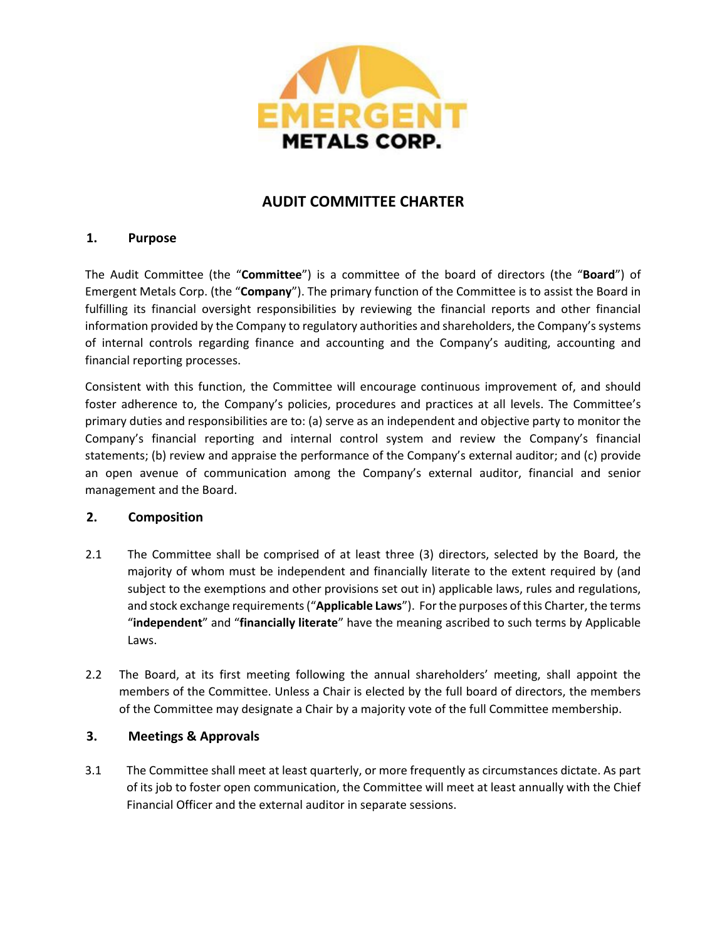

# **AUDIT COMMITTEE CHARTER**

# **1. Purpose**

The Audit Committee (the "**Committee**") is a committee of the board of directors (the "**Board**") of Emergent Metals Corp. (the "**Company**"). The primary function of the Committee is to assist the Board in fulfilling its financial oversight responsibilities by reviewing the financial reports and other financial information provided by the Company to regulatory authorities and shareholders, the Company's systems of internal controls regarding finance and accounting and the Company's auditing, accounting and financial reporting processes.

Consistent with this function, the Committee will encourage continuous improvement of, and should foster adherence to, the Company's policies, procedures and practices at all levels. The Committee's primary duties and responsibilities are to: (a) serve as an independent and objective party to monitor the Company's financial reporting and internal control system and review the Company's financial statements; (b) review and appraise the performance of the Company's external auditor; and (c) provide an open avenue of communication among the Company's external auditor, financial and senior management and the Board.

#### **2. Composition**

- 2.1 The Committee shall be comprised of at least three (3) directors, selected by the Board, the majority of whom must be independent and financially literate to the extent required by (and subject to the exemptions and other provisions set out in) applicable laws, rules and regulations, and stock exchange requirements ("**Applicable Laws**"). For the purposes of this Charter, the terms "**independent**" and "**financially literate**" have the meaning ascribed to such terms by Applicable Laws.
- 2.2 The Board, at its first meeting following the annual shareholders' meeting, shall appoint the members of the Committee. Unless a Chair is elected by the full board of directors, the members of the Committee may designate a Chair by a majority vote of the full Committee membership.

# **3. Meetings & Approvals**

3.1 The Committee shall meet at least quarterly, or more frequently as circumstances dictate. As part of its job to foster open communication, the Committee will meet at least annually with the Chief Financial Officer and the external auditor in separate sessions.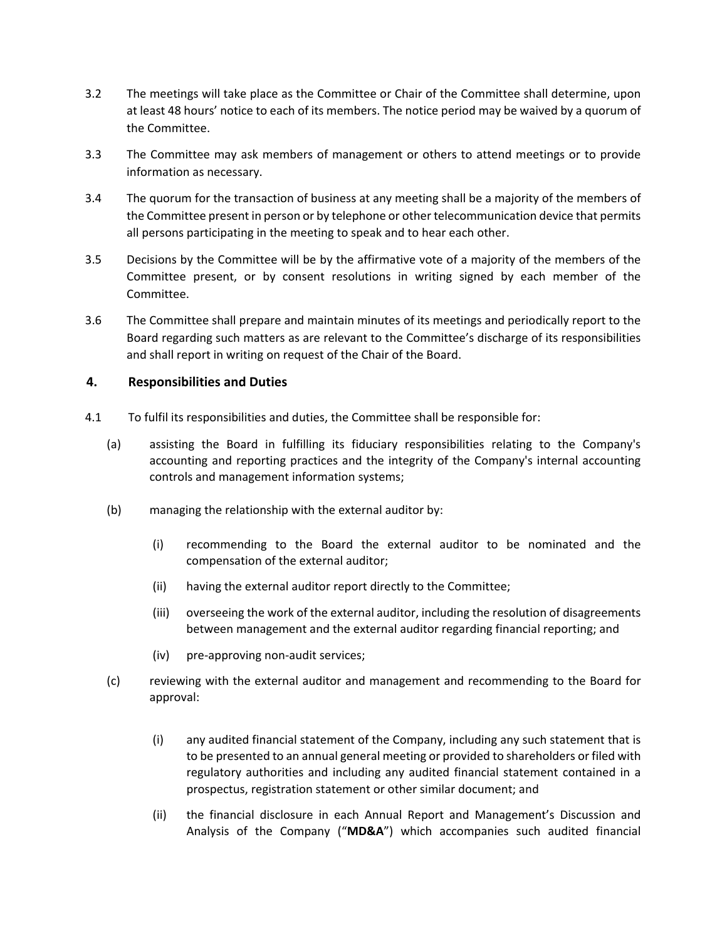- 3.2 The meetings will take place as the Committee or Chair of the Committee shall determine, upon at least 48 hours' notice to each of its members. The notice period may be waived by a quorum of the Committee.
- 3.3 The Committee may ask members of management or others to attend meetings or to provide information as necessary.
- 3.4 The quorum for the transaction of business at any meeting shall be a majority of the members of the Committee present in person or by telephone or other telecommunication device that permits all persons participating in the meeting to speak and to hear each other.
- 3.5 Decisions by the Committee will be by the affirmative vote of a majority of the members of the Committee present, or by consent resolutions in writing signed by each member of the Committee.
- 3.6 The Committee shall prepare and maintain minutes of its meetings and periodically report to the Board regarding such matters as are relevant to the Committee's discharge of its responsibilities and shall report in writing on request of the Chair of the Board.

### **4. Responsibilities and Duties**

- 4.1 To fulfil its responsibilities and duties, the Committee shall be responsible for:
	- (a) assisting the Board in fulfilling its fiduciary responsibilities relating to the Company's accounting and reporting practices and the integrity of the Company's internal accounting controls and management information systems;
	- (b) managing the relationship with the external auditor by:
		- (i) recommending to the Board the external auditor to be nominated and the compensation of the external auditor;
		- (ii) having the external auditor report directly to the Committee;
		- (iii) overseeing the work of the external auditor, including the resolution of disagreements between management and the external auditor regarding financial reporting; and
		- (iv) pre-approving non-audit services;
	- (c) reviewing with the external auditor and management and recommending to the Board for approval:
		- (i) any audited financial statement of the Company, including any such statement that is to be presented to an annual general meeting or provided to shareholders or filed with regulatory authorities and including any audited financial statement contained in a prospectus, registration statement or other similar document; and
		- (ii) the financial disclosure in each Annual Report and Management's Discussion and Analysis of the Company ("**MD&A**") which accompanies such audited financial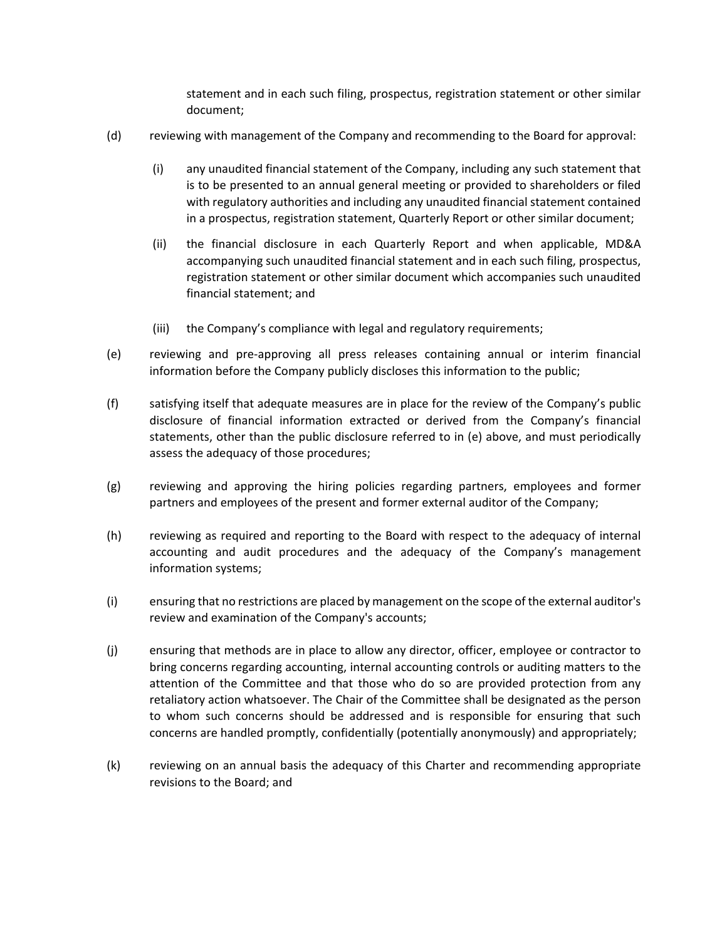statement and in each such filing, prospectus, registration statement or other similar document;

- (d) reviewing with management of the Company and recommending to the Board for approval:
	- (i) any unaudited financial statement of the Company, including any such statement that is to be presented to an annual general meeting or provided to shareholders or filed with regulatory authorities and including any unaudited financial statement contained in a prospectus, registration statement, Quarterly Report or other similar document;
	- (ii) the financial disclosure in each Quarterly Report and when applicable, MD&A accompanying such unaudited financial statement and in each such filing, prospectus, registration statement or other similar document which accompanies such unaudited financial statement; and
	- (iii) the Company's compliance with legal and regulatory requirements;
- (e) reviewing and pre-approving all press releases containing annual or interim financial information before the Company publicly discloses this information to the public;
- (f) satisfying itself that adequate measures are in place for the review of the Company's public disclosure of financial information extracted or derived from the Company's financial statements, other than the public disclosure referred to in (e) above, and must periodically assess the adequacy of those procedures;
- (g) reviewing and approving the hiring policies regarding partners, employees and former partners and employees of the present and former external auditor of the Company;
- (h) reviewing as required and reporting to the Board with respect to the adequacy of internal accounting and audit procedures and the adequacy of the Company's management information systems;
- (i) ensuring that no restrictions are placed by management on the scope of the external auditor's review and examination of the Company's accounts;
- (j) ensuring that methods are in place to allow any director, officer, employee or contractor to bring concerns regarding accounting, internal accounting controls or auditing matters to the attention of the Committee and that those who do so are provided protection from any retaliatory action whatsoever. The Chair of the Committee shall be designated as the person to whom such concerns should be addressed and is responsible for ensuring that such concerns are handled promptly, confidentially (potentially anonymously) and appropriately;
- (k) reviewing on an annual basis the adequacy of this Charter and recommending appropriate revisions to the Board; and